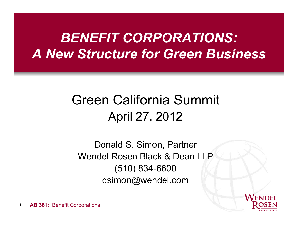# *BENEFIT CORPORATIONS: A New Structure for Green Business*

# Green California Summit April 27, 2012

Donald S. Simon, Partner Wendel Rosen Black & Dean LLP (510) 834-6600 dsimon@wendel.com

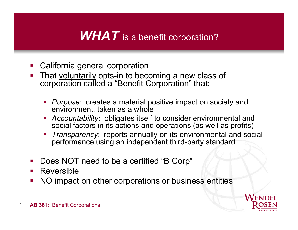## **WHAT** is a benefit corporation?

- California general corporation
- That voluntarily opts-in to becoming a new class of corporation called a "Benefit Corporation" that:
	- *Purpose*: creates a material positive impact on society and environment, taken as a whole
	- *Accountability*: obligates itself to consider environmental and social factors in its actions and operations (as well as profits)
	- *Transparency*: reports annually on its environmental and social performance using an independent third-party standard
- Does NOT need to be a certified "B Corp"
- **Reversible**
- NO impact on other corporations or business entities

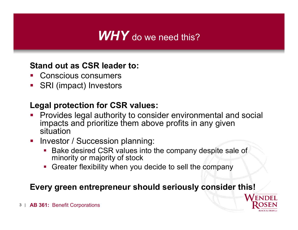## *WHY* do we need this?

#### **Stand out as CSR leader to:**

- Conscious consumers
- SRI (impact) Investors

### **Legal protection for CSR values:**

- Provides legal authority to consider environmental and social impacts and prioritize them above profits in any given situation
- **Investor / Succession planning:** 
	- **Bake desired CSR values into the company despite sale of** minority or majority of stock
	- Greater flexibility when you decide to sell the company

### **Every green entrepreneur should seriously consider this!**

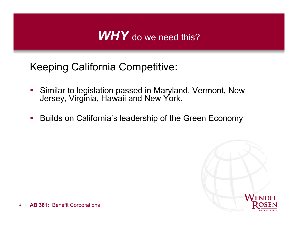## *WHY* do we need this?

Keeping California Competitive:

- **Similar to legislation passed in Maryland, Vermont, New** Jersey, Virginia, Hawaii and New York.
- Builds on California's leadership of the Green Economy

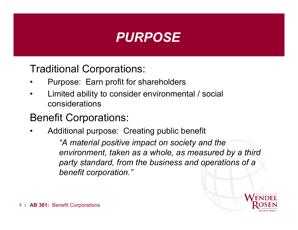

Traditional Corporations:

- Purpose: Earn profit for shareholders
- Limited ability to consider environmental / social considerations

### Benefit Corporations:

• Additional purpose: Creating public benefit *"A material positive impact on society and the environment, taken as a whole, as measured by a third party standard, from the business and operations of a benefit corporation."*

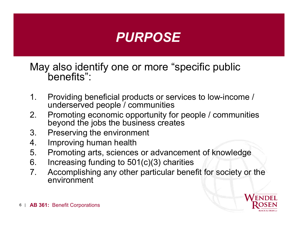

May also identify one or more "specific public benefits":

- 1. Providing beneficial products or services to low-income / underserved people / communities
- 2. Promoting economic opportunity for people / communities beyond the jobs the business creates
- 3. Preserving the environment
- 4. Improving human health
- 5. Promoting arts, sciences or advancement of knowledge
- 6. Increasing funding to 501(c)(3) charities
- 7. Accomplishing any other particular benefit for society or the environment

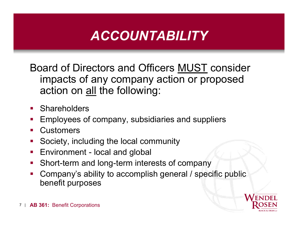# *ACCOUNTABILITY*

Board of Directors and Officers MUST consider impacts of any company action or proposed action on all the following:

- **Shareholders**
- Employees of company, subsidiaries and suppliers
- **Customers**
- Society, including the local community
- **Environment local and global**
- **Short-term and long-term interests of company**
- Company's ability to accomplish general / specific public benefit purposes

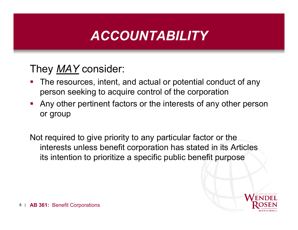# *ACCOUNTABILITY*

### They *MAY* consider:

- **The resources, intent, and actual or potential conduct of any** person seeking to acquire control of the corporation
- Any other pertinent factors or the interests of any other person or group

Not required to give priority to any particular factor or the interests unless benefit corporation has stated in its Articles its intention to prioritize a specific public benefit purpose

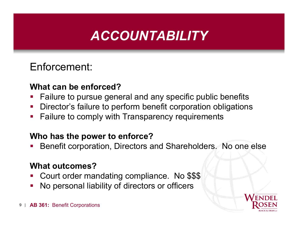# *ACCOUNTABILITY*

### Enforcement:

#### **What can be enforced?**

- **Failure to pursue general and any specific public benefits**
- **Director's failure to perform benefit corporation obligations**
- **Failure to comply with Transparency requirements**

#### **Who has the power to enforce?**

Benefit corporation, Directors and Shareholders. No one else

### **What outcomes?**

- Court order mandating compliance. No \$\$\$
- No personal liability of directors or officers

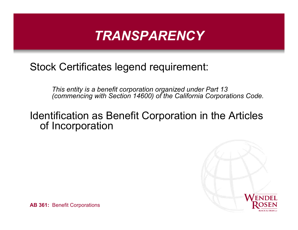### Stock Certificates legend requirement:

*This entity is a benefit corporation organized under Part 13 (commencing with Section 14600) of the California Corporations Code.*

### Identification as Benefit Corporation in the Articles of Incorporation

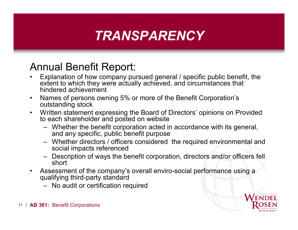### Annual Benefit Report:

- Explanation of how company pursued general / specific public benefit, the extent to which they were actually achieved, and circumstances that hindered achievement
- Names of persons owning 5% or more of the Benefit Corporation's outstanding stock
- Written statement expressing the Board of Directors' opinions on Provided to each shareholder and posted on website
	- Whether the benefit corporation acted in accordance with its general, and any specific, public benefit purpose
	- Whether directors / officers considered the required environmental and social impacts referenced
	- Description of ways the benefit corporation, directors and/or officers fell short
- Assessment of the company's overall enviro-social performance using a qualifying third-party standard
	- No audit or certification required

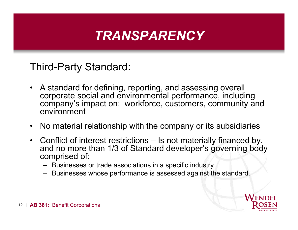Third-Party Standard:

- A standard for defining, reporting, and assessing overall corporate social and environmental performance, including company's impact on: workforce, customers, community and environment
- No material relationship with the company or its subsidiaries
- Conflict of interest restrictions Is not materially financed by, and no more than 1/3 of Standard developer's governing body comprised of:
	- Businesses or trade associations in a specific industry
	- Businesses whose performance is assessed against the standard.

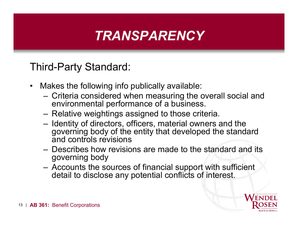Third-Party Standard:

- Makes the following info publically available:
	- Criteria considered when measuring the overall social and environmental performance of a business.
	- Relative weightings assigned to those criteria.
	- Identity of directors, officers, material owners and the governing body of the entity that developed the standard and controls revisions
	- Describes how revisions are made to the standard and its governing body
	- Accounts the sources of financial support with sufficient detail to disclose any potential conflicts of interest.

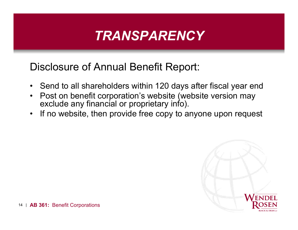Disclosure of Annual Benefit Report:

- Send to all shareholders within 120 days after fiscal year end
- Post on benefit corporation's website (website version may exclude any financial or proprietary info).
- If no website, then provide free copy to anyone upon request

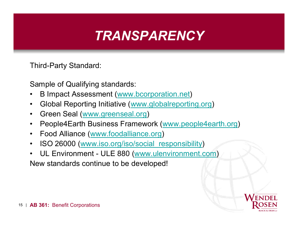Third-Party Standard:

Sample of Qualifying standards:

- B Impact Assessment ([www.bc](www.b)orporation.net)
- Global Reporting Initiative (w[ww.globalreporting.org](www.globalreporting.org))
- Green Seal (w[ww.greenseal.org](www.greenseal.org))
- People4Earth Business Framework (w[ww.people4earth.org\)](www.people4earth.org)
- Food Alliance (<www.foodallian>ce.org)
- ISO 26000 ([www.iso.org/iso/soc](www.iso.org/iso/so)ial\_responsibility)
- UL Environment ULE 880 (w[ww.ulenvironment.](www.ulenvironment.)com) New standards continue to be developed!

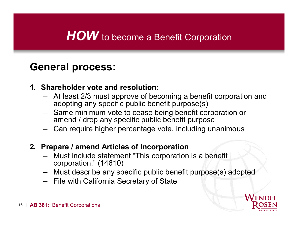## **HOW** to become a Benefit Corporation

### **General process:**

#### **1. Shareholder vote and resolution:**

- At least 2/3 must approve of becoming a benefit corporation and adopting any specific public benefit purpose(s)
- Same minimum vote to cease being benefit corporation or amend / drop any specific public benefit purpose
- Can require higher percentage vote, including unanimous

#### **2. Prepare / amend Articles of Incorporation**

- Must include statement "This corporation is a benefit corporation." (14610)
- Must describe any specific public benefit purpose(s) adopted
- File with California Secretary of State

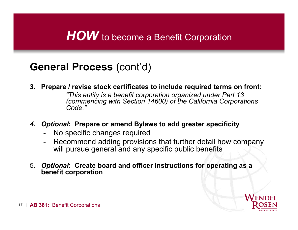## **HOW** to become a Benefit Corporation

### **General Process** (cont'd)

**3. Prepare / revise stock certificates to include required terms on front:**

*"This entity is a benefit corporation organized under Part 13 (commencing with Section 14600) of the California Corporations Code."*

- *4. Optional***: Prepare or amend Bylaws to add greater specificity**
	- No specific changes required
	- Recommend adding provisions that further detail how company will pursue general and any specific public benefits
- 5. *Optional***: Create board and officer instructions for operating as a benefit corporation**

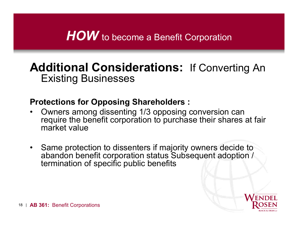## **HOW** to become a Benefit Corporation

### **Additional Considerations:** If Converting An Existing Businesses

#### **Protections for Opposing Shareholders :**

- Owners among dissenting 1/3 opposing conversion can require the benefit corporation to purchase their shares at fair market value
- Same protection to dissenters if majority owners decide to abandon benefit corporation status Subsequent adoption / termination of specific public benefits